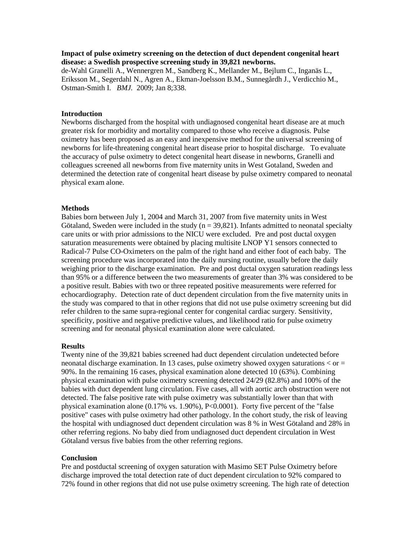# **Impact of pulse oximetry screening on the detection of duct dependent congenital heart disease: a Swedish prospective screening study in 39,821 newborns.**

de-Wahl Granelli A.[, Wennergren M.](http://www.ncbi.nlm.nih.gov/pubmed?term=%22Wennergren%20M%22%5BAuthor%5D), Sandberg K., [Mellander M.](http://www.ncbi.nlm.nih.gov/pubmed?term=%22Mellander%20M%22%5BAuthor%5D), [Bejlum C.](http://www.ncbi.nlm.nih.gov/pubmed?term=%22Bejlum%20C%22%5BAuthor%5D), [Inganäs L.](http://www.ncbi.nlm.nih.gov/pubmed?term=%22Ingan%C3%A4s%20L%22%5BAuthor%5D), Eriksson M., [Segerdahl N.](http://www.ncbi.nlm.nih.gov/pubmed?term=%22Segerdahl%20N%22%5BAuthor%5D), [Agren A.](http://www.ncbi.nlm.nih.gov/pubmed?term=%22Agren%20A%22%5BAuthor%5D), [Ekman-Joelsson B.M.](http://www.ncbi.nlm.nih.gov/pubmed?term=%22Ekman-Joelsson%20BM%22%5BAuthor%5D), [Sunnegårdh J.](http://www.ncbi.nlm.nih.gov/pubmed?term=%22Sunneg%C3%A5rdh%20J%22%5BAuthor%5D), [Verdicchio M.](http://www.ncbi.nlm.nih.gov/pubmed?term=%22Verdicchio%20M%22%5BAuthor%5D), [Ostman-Smith I.](http://www.ncbi.nlm.nih.gov/pubmed?term=%22Ostman-Smith%20I%22%5BAuthor%5D) *[BMJ.](javascript:AL_get(this,%20)* 2009; Jan 8;338.

## **Introduction**

Newborns discharged from the hospital with undiagnosed congenital heart disease are at much greater risk for morbidity and mortality compared to those who receive a diagnosis. Pulse oximetry has been proposed as an easy and inexpensive method for the universal screening of newborns for life-threatening congenital heart disease prior to hospital discharge. To evaluate the accuracy of pulse oximetry to detect congenital heart disease in newborns, Granelli and colleagues screened all newborns from five maternity units in West Gotaland, Sweden and determined the detection rate of congenital heart disease by pulse oximetry compared to neonatal physical exam alone.

#### **Methods**

Babies born between July 1, 2004 and March 31, 2007 from five maternity units in West Götaland, Sweden were included in the study  $(n = 39,821)$ . Infants admitted to neonatal specialty care units or with prior admissions to the NICU were excluded. Pre and post ductal oxygen saturation measurements were obtained by placing multisite LNOP Y1 sensors connected to Radical-7 Pulse CO-Oximeters on the palm of the right hand and either foot of each baby. The screening procedure was incorporated into the daily nursing routine, usually before the daily weighing prior to the discharge examination. Pre and post ductal oxygen saturation readings less than 95% or a difference between the two measurements of greater than 3% was considered to be a positive result. Babies with two or three repeated positive measurements were referred for echocardiography. Detection rate of duct dependent circulation from the five maternity units in the study was compared to that in other regions that did not use pulse oximetry screening but did refer children to the same supra-regional center for congenital cardiac surgery. Sensitivity, specificity, positive and negative predictive values, and likelihood ratio for pulse oximetry screening and for neonatal physical examination alone were calculated.

### **Results**

Twenty nine of the 39,821 babies screened had duct dependent circulation undetected before neonatal discharge examination. In 13 cases, pulse oximetry showed oxygen saturations  $\langle$  or  $=$ 90%. In the remaining 16 cases, physical examination alone detected 10 (63%). Combining physical examination with pulse oximetry screening detected 24/29 (82.8%) and 100% of the babies with duct dependent lung circulation. Five cases, all with aortic arch obstruction were not detected. The false positive rate with pulse oximetry was substantially lower than that with physical examination alone (0.17% vs. 1.90%), P<0.0001). Forty five percent of the "false positive" cases with pulse oximetry had other pathology. In the cohort study, the risk of leaving the hospital with undiagnosed duct dependent circulation was 8 % in West Götaland and 28% in other referring regions. No baby died from undiagnosed duct dependent circulation in West Götaland versus five babies from the other referring regions.

#### **Conclusion**

Pre and postductal screening of oxygen saturation with Masimo SET Pulse Oximetry before discharge improved the total detection rate of duct dependent circulation to 92% compared to 72% found in other regions that did not use pulse oximetry screening. The high rate of detection